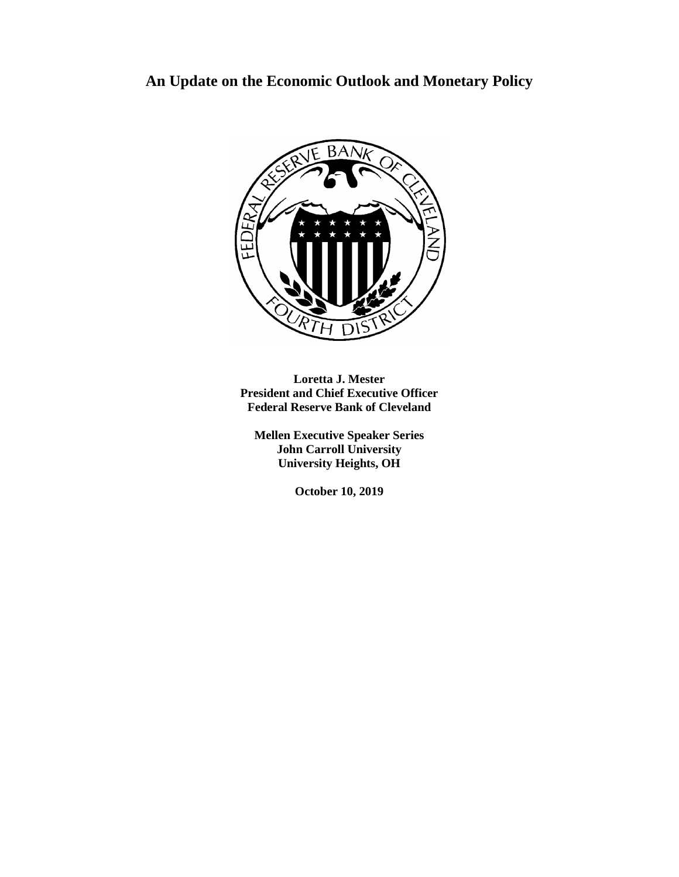## **An Update on the Economic Outlook and Monetary Policy**



**Loretta J. Mester President and Chief Executive Officer Federal Reserve Bank of Cleveland**

**Mellen Executive Speaker Series John Carroll University University Heights, OH**

**October 10, 2019**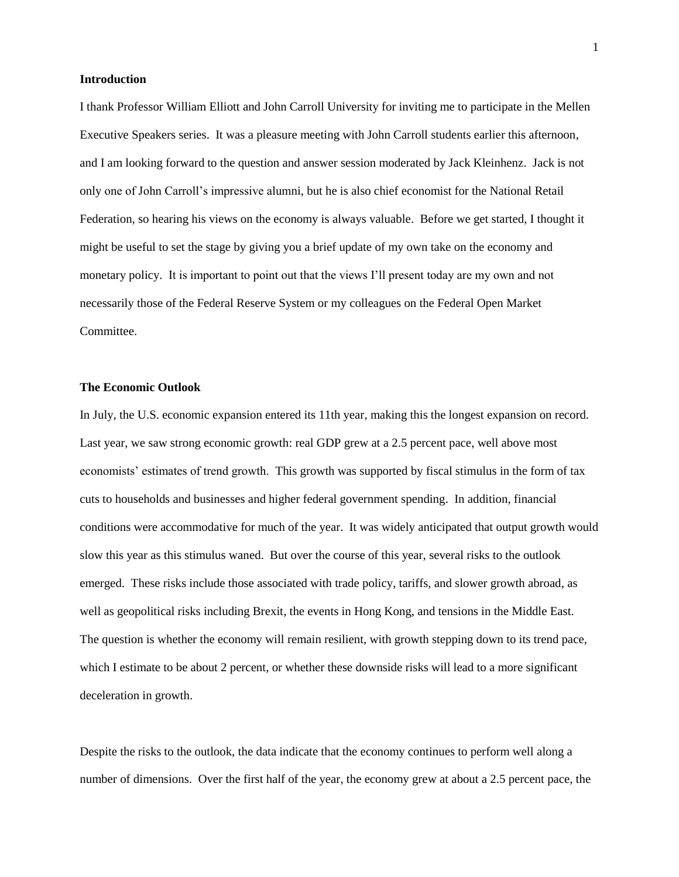## **Introduction**

I thank Professor William Elliott and John Carroll University for inviting me to participate in the Mellen Executive Speakers series. It was a pleasure meeting with John Carroll students earlier this afternoon, and I am looking forward to the question and answer session moderated by Jack Kleinhenz. Jack is not only one of John Carroll's impressive alumni, but he is also chief economist for the National Retail Federation, so hearing his views on the economy is always valuable. Before we get started, I thought it might be useful to set the stage by giving you a brief update of my own take on the economy and monetary policy. It is important to point out that the views I'll present today are my own and not necessarily those of the Federal Reserve System or my colleagues on the Federal Open Market Committee.

## **The Economic Outlook**

In July, the U.S. economic expansion entered its 11th year, making this the longest expansion on record. Last year, we saw strong economic growth: real GDP grew at a 2.5 percent pace, well above most economists' estimates of trend growth. This growth was supported by fiscal stimulus in the form of tax cuts to households and businesses and higher federal government spending. In addition, financial conditions were accommodative for much of the year. It was widely anticipated that output growth would slow this year as this stimulus waned. But over the course of this year, several risks to the outlook emerged. These risks include those associated with trade policy, tariffs, and slower growth abroad, as well as geopolitical risks including Brexit, the events in Hong Kong, and tensions in the Middle East. The question is whether the economy will remain resilient, with growth stepping down to its trend pace, which I estimate to be about 2 percent, or whether these downside risks will lead to a more significant deceleration in growth.

Despite the risks to the outlook, the data indicate that the economy continues to perform well along a number of dimensions. Over the first half of the year, the economy grew at about a 2.5 percent pace, the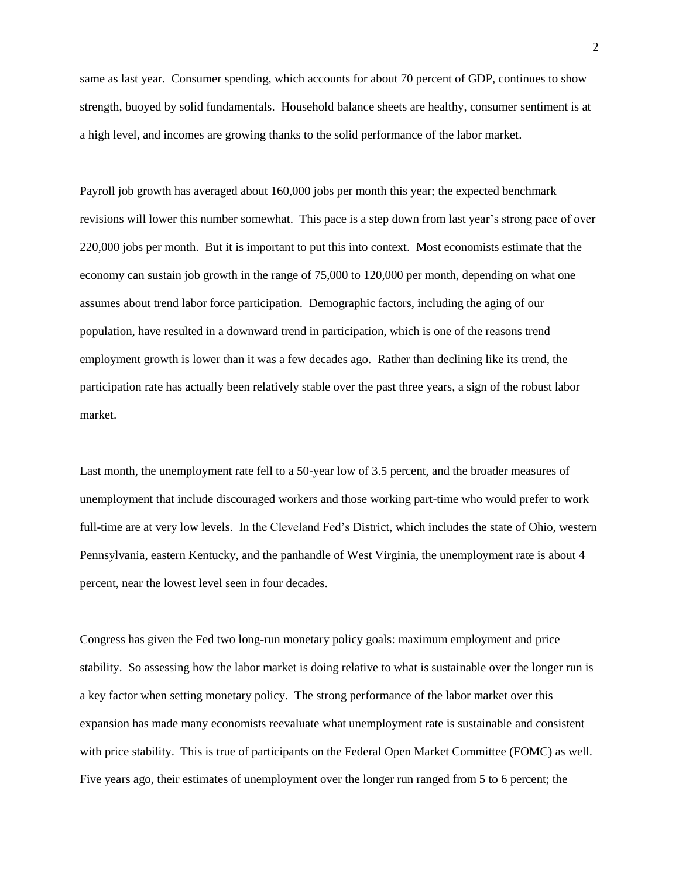same as last year. Consumer spending, which accounts for about 70 percent of GDP, continues to show strength, buoyed by solid fundamentals. Household balance sheets are healthy, consumer sentiment is at a high level, and incomes are growing thanks to the solid performance of the labor market.

Payroll job growth has averaged about 160,000 jobs per month this year; the expected benchmark revisions will lower this number somewhat. This pace is a step down from last year's strong pace of over 220,000 jobs per month. But it is important to put this into context. Most economists estimate that the economy can sustain job growth in the range of 75,000 to 120,000 per month, depending on what one assumes about trend labor force participation. Demographic factors, including the aging of our population, have resulted in a downward trend in participation, which is one of the reasons trend employment growth is lower than it was a few decades ago. Rather than declining like its trend, the participation rate has actually been relatively stable over the past three years, a sign of the robust labor market.

Last month, the unemployment rate fell to a 50-year low of 3.5 percent, and the broader measures of unemployment that include discouraged workers and those working part-time who would prefer to work full-time are at very low levels. In the Cleveland Fed's District, which includes the state of Ohio, western Pennsylvania, eastern Kentucky, and the panhandle of West Virginia, the unemployment rate is about 4 percent, near the lowest level seen in four decades.

Congress has given the Fed two long-run monetary policy goals: maximum employment and price stability. So assessing how the labor market is doing relative to what is sustainable over the longer run is a key factor when setting monetary policy. The strong performance of the labor market over this expansion has made many economists reevaluate what unemployment rate is sustainable and consistent with price stability. This is true of participants on the Federal Open Market Committee (FOMC) as well. Five years ago, their estimates of unemployment over the longer run ranged from 5 to 6 percent; the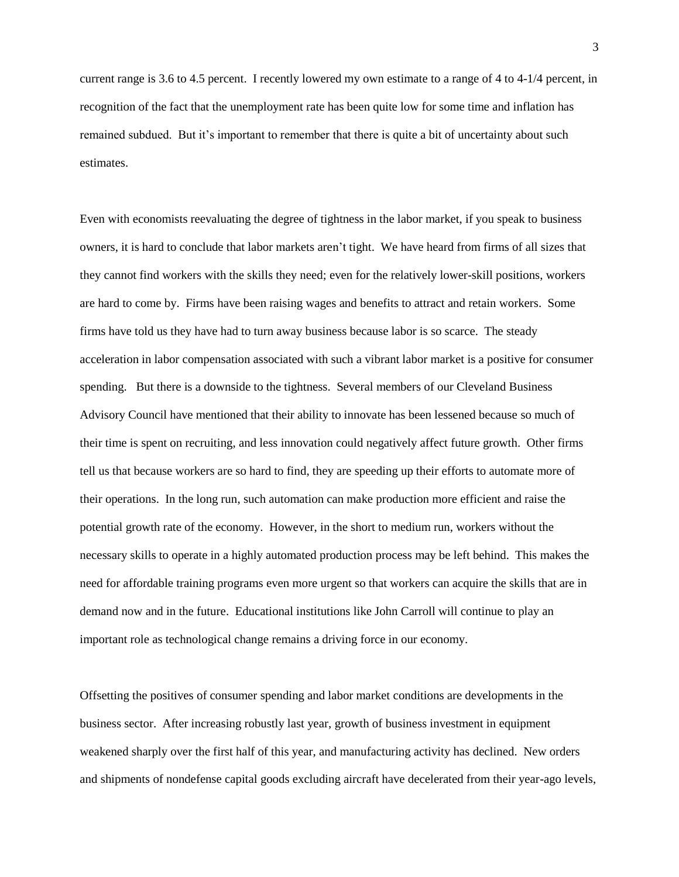current range is 3.6 to 4.5 percent. I recently lowered my own estimate to a range of 4 to 4-1/4 percent, in recognition of the fact that the unemployment rate has been quite low for some time and inflation has remained subdued. But it's important to remember that there is quite a bit of uncertainty about such estimates.

Even with economists reevaluating the degree of tightness in the labor market, if you speak to business owners, it is hard to conclude that labor markets aren't tight. We have heard from firms of all sizes that they cannot find workers with the skills they need; even for the relatively lower-skill positions, workers are hard to come by. Firms have been raising wages and benefits to attract and retain workers. Some firms have told us they have had to turn away business because labor is so scarce. The steady acceleration in labor compensation associated with such a vibrant labor market is a positive for consumer spending. But there is a downside to the tightness. Several members of our Cleveland Business Advisory Council have mentioned that their ability to innovate has been lessened because so much of their time is spent on recruiting, and less innovation could negatively affect future growth. Other firms tell us that because workers are so hard to find, they are speeding up their efforts to automate more of their operations. In the long run, such automation can make production more efficient and raise the potential growth rate of the economy. However, in the short to medium run, workers without the necessary skills to operate in a highly automated production process may be left behind. This makes the need for affordable training programs even more urgent so that workers can acquire the skills that are in demand now and in the future. Educational institutions like John Carroll will continue to play an important role as technological change remains a driving force in our economy.

Offsetting the positives of consumer spending and labor market conditions are developments in the business sector. After increasing robustly last year, growth of business investment in equipment weakened sharply over the first half of this year, and manufacturing activity has declined. New orders and shipments of nondefense capital goods excluding aircraft have decelerated from their year-ago levels,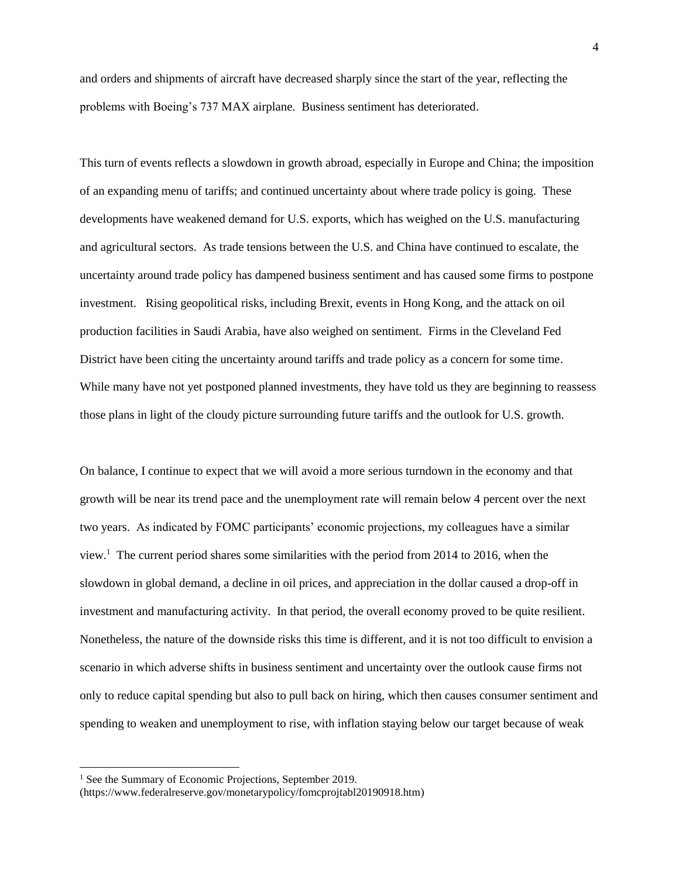and orders and shipments of aircraft have decreased sharply since the start of the year, reflecting the problems with Boeing's 737 MAX airplane. Business sentiment has deteriorated.

This turn of events reflects a slowdown in growth abroad, especially in Europe and China; the imposition of an expanding menu of tariffs; and continued uncertainty about where trade policy is going. These developments have weakened demand for U.S. exports, which has weighed on the U.S. manufacturing and agricultural sectors. As trade tensions between the U.S. and China have continued to escalate, the uncertainty around trade policy has dampened business sentiment and has caused some firms to postpone investment. Rising geopolitical risks, including Brexit, events in Hong Kong, and the attack on oil production facilities in Saudi Arabia, have also weighed on sentiment. Firms in the Cleveland Fed District have been citing the uncertainty around tariffs and trade policy as a concern for some time. While many have not yet postponed planned investments, they have told us they are beginning to reassess those plans in light of the cloudy picture surrounding future tariffs and the outlook for U.S. growth.

On balance, I continue to expect that we will avoid a more serious turndown in the economy and that growth will be near its trend pace and the unemployment rate will remain below 4 percent over the next two years. As indicated by FOMC participants' economic projections, my colleagues have a similar view.<sup>1</sup> The current period shares some similarities with the period from 2014 to 2016, when the slowdown in global demand, a decline in oil prices, and appreciation in the dollar caused a drop-off in investment and manufacturing activity. In that period, the overall economy proved to be quite resilient. Nonetheless, the nature of the downside risks this time is different, and it is not too difficult to envision a scenario in which adverse shifts in business sentiment and uncertainty over the outlook cause firms not only to reduce capital spending but also to pull back on hiring, which then causes consumer sentiment and spending to weaken and unemployment to rise, with inflation staying below our target because of weak

l

<sup>&</sup>lt;sup>1</sup> See the Summary of Economic Projections, September 2019.

<sup>(</sup>https://www.federalreserve.gov/monetarypolicy/fomcprojtabl20190918.htm)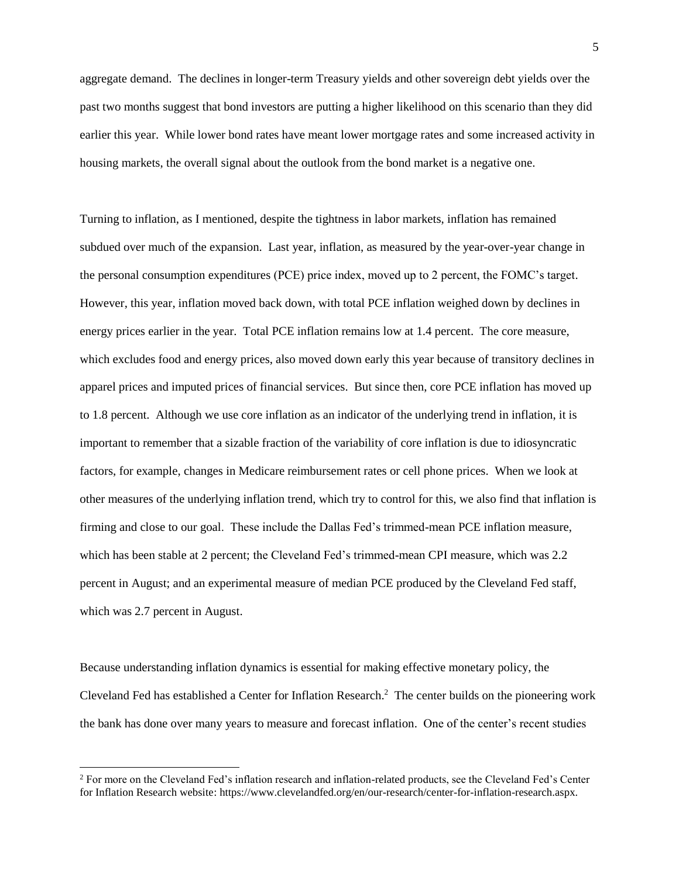aggregate demand. The declines in longer-term Treasury yields and other sovereign debt yields over the past two months suggest that bond investors are putting a higher likelihood on this scenario than they did earlier this year. While lower bond rates have meant lower mortgage rates and some increased activity in housing markets, the overall signal about the outlook from the bond market is a negative one.

Turning to inflation, as I mentioned, despite the tightness in labor markets, inflation has remained subdued over much of the expansion. Last year, inflation, as measured by the year-over-year change in the personal consumption expenditures (PCE) price index, moved up to 2 percent, the FOMC's target. However, this year, inflation moved back down, with total PCE inflation weighed down by declines in energy prices earlier in the year. Total PCE inflation remains low at 1.4 percent. The core measure, which excludes food and energy prices, also moved down early this year because of transitory declines in apparel prices and imputed prices of financial services. But since then, core PCE inflation has moved up to 1.8 percent. Although we use core inflation as an indicator of the underlying trend in inflation, it is important to remember that a sizable fraction of the variability of core inflation is due to idiosyncratic factors, for example, changes in Medicare reimbursement rates or cell phone prices. When we look at other measures of the underlying inflation trend, which try to control for this, we also find that inflation is firming and close to our goal. These include the Dallas Fed's trimmed-mean PCE inflation measure, which has been stable at 2 percent; the Cleveland Fed's trimmed-mean CPI measure, which was 2.2 percent in August; and an experimental measure of median PCE produced by the Cleveland Fed staff, which was 2.7 percent in August.

Because understanding inflation dynamics is essential for making effective monetary policy, the Cleveland Fed has established a Center for Inflation Research. 2 The center builds on the pioneering work the bank has done over many years to measure and forecast inflation. One of the center's recent studies

l

<sup>&</sup>lt;sup>2</sup> For more on the Cleveland Fed's inflation research and inflation-related products, see the Cleveland Fed's Center for Inflation Research website: https://www.clevelandfed.org/en/our-research/center-for-inflation-research.aspx.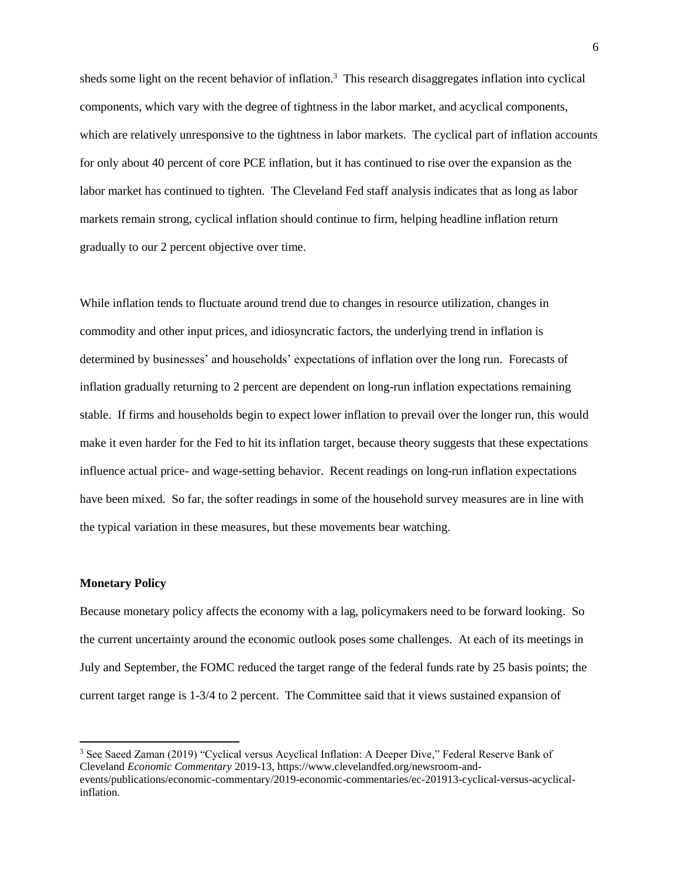sheds some light on the recent behavior of inflation.<sup>3</sup> This research disaggregates inflation into cyclical components, which vary with the degree of tightness in the labor market, and acyclical components, which are relatively unresponsive to the tightness in labor markets. The cyclical part of inflation accounts for only about 40 percent of core PCE inflation, but it has continued to rise over the expansion as the labor market has continued to tighten. The Cleveland Fed staff analysis indicates that as long as labor markets remain strong, cyclical inflation should continue to firm, helping headline inflation return gradually to our 2 percent objective over time.

While inflation tends to fluctuate around trend due to changes in resource utilization, changes in commodity and other input prices, and idiosyncratic factors, the underlying trend in inflation is determined by businesses' and households' expectations of inflation over the long run. Forecasts of inflation gradually returning to 2 percent are dependent on long-run inflation expectations remaining stable. If firms and households begin to expect lower inflation to prevail over the longer run, this would make it even harder for the Fed to hit its inflation target, because theory suggests that these expectations influence actual price- and wage-setting behavior. Recent readings on long-run inflation expectations have been mixed. So far, the softer readings in some of the household survey measures are in line with the typical variation in these measures, but these movements bear watching.

## **Monetary Policy**

 $\overline{\phantom{a}}$ 

Because monetary policy affects the economy with a lag, policymakers need to be forward looking. So the current uncertainty around the economic outlook poses some challenges. At each of its meetings in July and September, the FOMC reduced the target range of the federal funds rate by 25 basis points; the current target range is 1-3/4 to 2 percent. The Committee said that it views sustained expansion of

<sup>3</sup> See Saeed Zaman (2019) "Cyclical versus Acyclical Inflation: A Deeper Dive," Federal Reserve Bank of Cleveland *Economic Commentary* 2019-13, https://www.clevelandfed.org/newsroom-andevents/publications/economic-commentary/2019-economic-commentaries/ec-201913-cyclical-versus-acyclicalinflation.